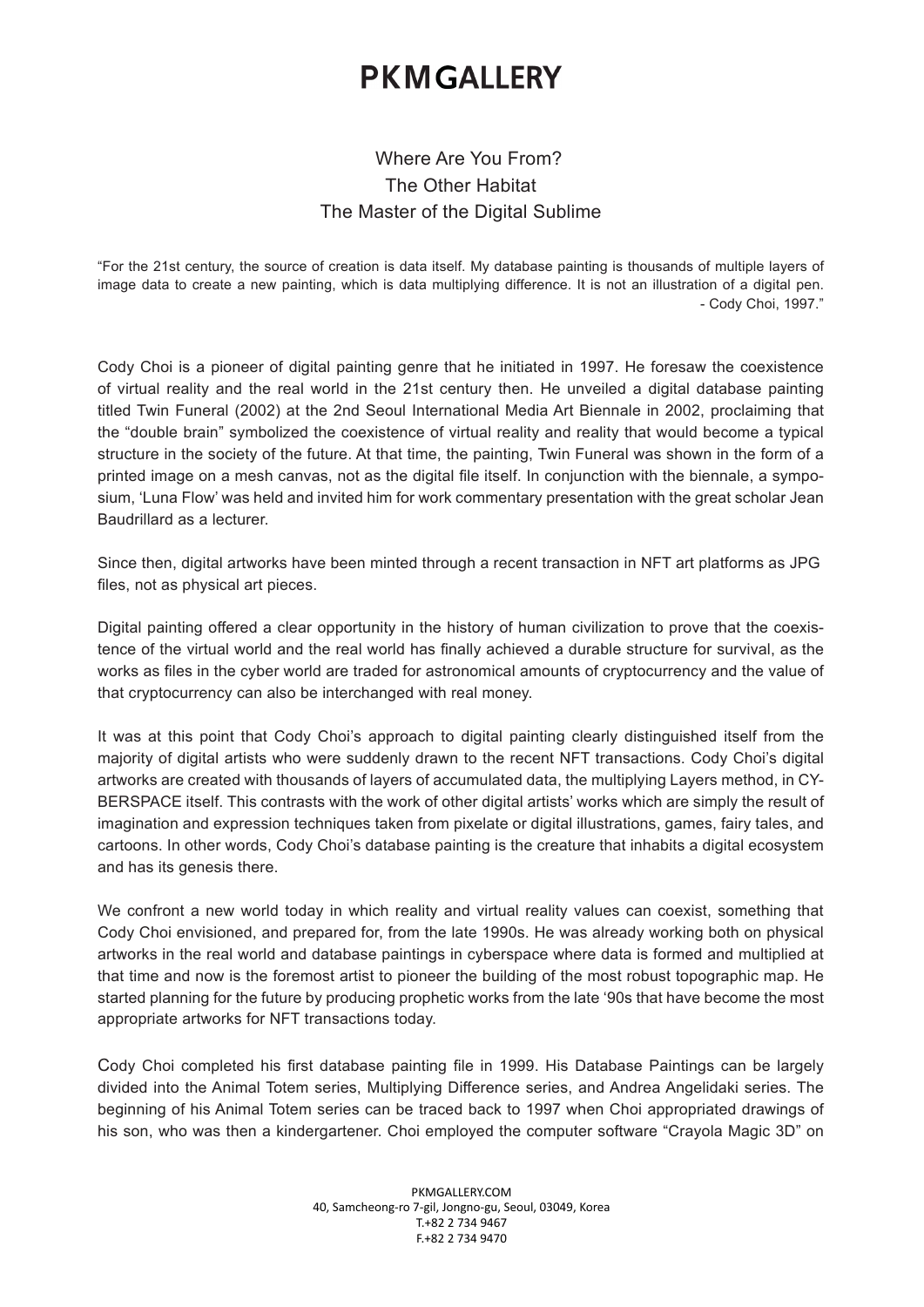## **PKMGALLERY**

## Where Are You From? The Other Habitat The Master of the Digital Sublime

"For the 21st century, the source of creation is data itself. My database painting is thousands of multiple layers of image data to create a new painting, which is data multiplying difference. It is not an illustration of a digital pen. - Cody Choi, 1997."

Cody Choi is a pioneer of digital painting genre that he initiated in 1997. He foresaw the coexistence of virtual reality and the real world in the 21st century then. He unveiled a digital database painting titled Twin Funeral (2002) at the 2nd Seoul International Media Art Biennale in 2002, proclaiming that the "double brain" symbolized the coexistence of virtual reality and reality that would become a typical structure in the society of the future. At that time, the painting, Twin Funeral was shown in the form of a printed image on a mesh canvas, not as the digital fle itself. In conjunction with the biennale, a symposium, 'Luna Flow' was held and invited him for work commentary presentation with the great scholar Jean Baudrillard as a lecturer.

Since then, digital artworks have been minted through a recent transaction in NFT art platforms as JPG fles, not as physical art pieces.

Digital painting offered a clear opportunity in the history of human civilization to prove that the coexistence of the virtual world and the real world has fnally achieved a durable structure for survival, as the works as fles in the cyber world are traded for astronomical amounts of cryptocurrency and the value of that cryptocurrency can also be interchanged with real money.

It was at this point that Cody Choi's approach to digital painting clearly distinguished itself from the majority of digital artists who were suddenly drawn to the recent NFT transactions. Cody Choi's digital artworks are created with thousands of layers of accumulated data, the multiplying Layers method, in CY-BERSPACE itself. This contrasts with the work of other digital artists' works which are simply the result of imagination and expression techniques taken from pixelate or digital illustrations, games, fairy tales, and cartoons. In other words, Cody Choi's database painting is the creature that inhabits a digital ecosystem and has its genesis there.

We confront a new world today in which reality and virtual reality values can coexist, something that Cody Choi envisioned, and prepared for, from the late 1990s. He was already working both on physical artworks in the real world and database paintings in cyberspace where data is formed and multiplied at that time and now is the foremost artist to pioneer the building of the most robust topographic map. He started planning for the future by producing prophetic works from the late '90s that have become the most appropriate artworks for NFT transactions today.

Cody Choi completed his frst database painting fle in 1999. His Database Paintings can be largely divided into the Animal Totem series, Multiplying Difference series, and Andrea Angelidaki series. The beginning of his Animal Totem series can be traced back to 1997 when Choi appropriated drawings of his son, who was then a kindergartener. Choi employed the computer software "Crayola Magic 3D" on